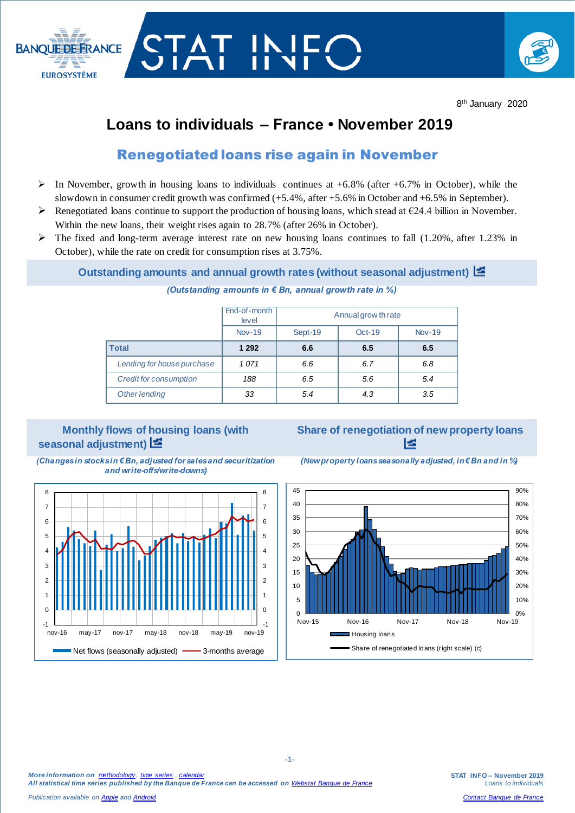

## **Loans to individuals – France • November 2019**

### Renegotiated loans rise again in November

- $\triangleright$  In November, growth in housing loans to individuals continues at +6.8% (after +6.7% in October), while the slowdown in consumer credit growth was confirmed  $(+5.4\%)$ , after  $+5.6\%$  in October and  $+6.5\%$  in September).
- Renegotiated loans continue to support the production of housing loans, which stead at  $\epsilon$ 24.4 billion in November. Within the new loans, their weight rises again to 28.7% (after 26% in October).
- $\triangleright$  The fixed and long-term average interest rate on new housing loans continues to fall (1.20%, after 1.23% in October), while the rate on credit for consumption rises at 3.75%.

### **Outstanding amounts and annual growth rates (without seasonal adjustment)**

# *(Outstanding amounts in € Bn, annual growth rate in %)*

|                            | End-of-month<br>level | Annual grow th rate |          |               |  |
|----------------------------|-----------------------|---------------------|----------|---------------|--|
|                            | <b>Nov-19</b>         | Sept-19             | $Oct-19$ | <b>Nov-19</b> |  |
| <b>Total</b>               | 1 2 9 2               | 6.6                 | 6.5      | 6.5           |  |
| Lending for house purchase | 1071                  | 6.6                 | 6.7      | 6.8           |  |
| Credit for consumption     | 188                   | 6.5                 | 5.6      | 5.4           |  |
| Other lending              | 33                    | 5.4                 | 4.3      | 3.5           |  |

### **Monthly flows of housing loans (with seasonal adjustment)**

### **Share of renegotiation of new property loans**  e

*(Changes in stocks in € Bn, adjusted for sales and securitization and write-offs/write-downs)*



-1-th and the contract of the contract of the contract of the contract of the contract of the contract of the

*Publication available o[n Apple](https://itunes.apple.com/fr/app/banquefrance/id663817914?mt=8) and [Android](https://play.google.com/store/apps/details?id=fr.bdf.mobile&feature=search_result#?t=W251bGwsMSwyLDEsImZyLmJkZi5tb2JpbGUiXQ)*

*(New property loans seasonally adjusted, in € Bn and in %)*